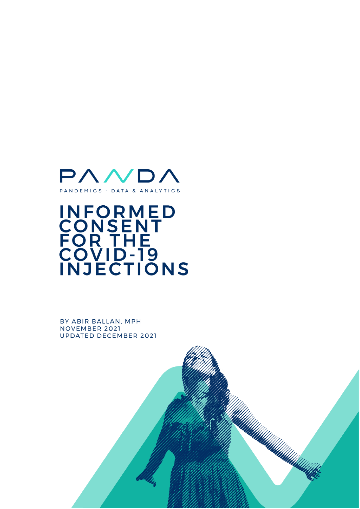

# **INFORMED<br>CONSENT<br>FOR THE<br>COVID-19<br>INJECTIONS**

BY ABIR BALLAN, MPH NOVEMBER 2021 **UPDATED DECEMBER 2021** 

UMMMMMMMMM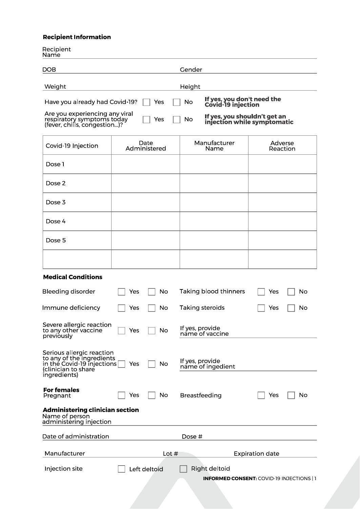# **Recipient Information**

Recipient<br><u>Name</u>

**r** 

| DOB                                                                                                                            |            | Gender   |                                                                                                                 |
|--------------------------------------------------------------------------------------------------------------------------------|------------|----------|-----------------------------------------------------------------------------------------------------------------|
| Weight                                                                                                                         |            | Height   |                                                                                                                 |
| Have you already had Covid-19?<br>Are you experiencing any viral<br>respiratory symptoms today<br>(fever, chills, congestion)? | Yes<br>Yes | No<br>No | If yes, you don't need the<br>Covid-19 injection<br>If yes, you shouldn't get an<br>injection while symptomatic |

| Covid-19 Injection | Date<br>Administered | Manufacturer<br>Name | Adverse<br>Reaction |
|--------------------|----------------------|----------------------|---------------------|
| Dose 1             |                      |                      |                     |
| Dose 2             |                      |                      |                     |
| Dose 3             |                      |                      |                     |
| Dose 4             |                      |                      |                     |
| Dose 5             |                      |                      |                     |
|                    |                      |                      |                     |

## **Medical Conditions**

| <b>Bleeding disorder</b>                                                                                                    | Yes | No           | Taking blood thinners                | Yes                                            | No |
|-----------------------------------------------------------------------------------------------------------------------------|-----|--------------|--------------------------------------|------------------------------------------------|----|
| Immune deficiency                                                                                                           | Yes | No           | Taking steroids                      | Yes                                            | No |
| Severe allergic reaction<br>to any other vaccine<br>previously                                                              | Yes | No           | If yes, provide<br>name of vaccine   |                                                |    |
| Serious allergic reaction<br>to any of the ingredients<br>in the Covid-19 injections<br>(clinician to share<br>ingredients) | Yes | No           | If yes, provide<br>name of ingedient |                                                |    |
| <b>For females</b><br>Pregnant                                                                                              | Yes | No           | <b>Breastfeeding</b>                 | Yes                                            | No |
| <b>Administering clinician section</b><br>Name of person<br>administering injection                                         |     |              |                                      |                                                |    |
| Date of administration                                                                                                      |     |              | Dose #                               |                                                |    |
| Manufacturer                                                                                                                |     | Lot $#$      |                                      | <b>Expiration date</b>                         |    |
| Injection site                                                                                                              |     | Left deltoid | Right deltoid                        |                                                |    |
|                                                                                                                             |     |              |                                      | <b>INFORMED CONSENT:</b> COVID-19 INJECTIONS 1 |    |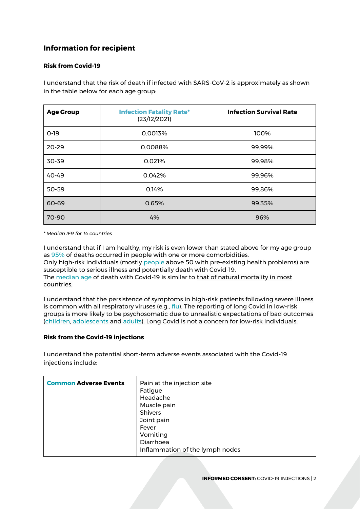# **Information for recipient**

## **Risk from Covid-19**

I understand that the risk of death if infected with SARS-CoV-2 is approximately as shown in the table below for each age group:

| <b>Age Group</b> | <b>Infection Fatality Rate*</b><br>(23/12/2021) | <b>Infection Survival Rate</b> |
|------------------|-------------------------------------------------|--------------------------------|
| $O-19$           | 0.0013%                                         | 100%                           |
| $20 - 29$        | 0.0088%                                         | 99.99%                         |
| 30-39            | 0.021%                                          | 99.98%                         |
| $40 - 49$        | 0.042%                                          | 99.96%                         |
| 50-59            | 0.14%                                           | 99.86%                         |
| 60-69            | 0.65%                                           | 99.35%                         |
| 70-90            | 4%                                              | 96%                            |

*\* Median IFR for 14 countries*

I understand that if I am healthy, my risk is even lower than stated above for my age group as [95%](https://www.cdc.gov/pcd/issues/2021/21_0123.htm#T2_down) of deaths occurred in people with one or more comorbidities. Only high-risk individuals (mostly [people](https://pubmed.ncbi.nlm.nih.gov/32771461/) above 50 with pre-existing health problems) are susceptible to serious illness and potentially death with Covid-19. The [median age](https://swprs.org/studies-on-covid-19-lethality/#age) of death with Covid-19 is similar to that of natural mortality in most countries.

I understand that the persistence of symptoms in high-risk patients following severe illness is common with all respiratory viruses (e.g., [flu\)](https://www.ncbi.nlm.nih.gov/pmc/articles/PMC5596521/). The reporting of long Covid in low-risk groups is more likely to be psychosomatic due to unrealistic expectations of bad outcomes [\(children,](https://www.medrxiv.org/content/10.1101/2021.05.16.21257255v1) [adolescents](https://www.medrxiv.org/content/10.1101/2021.05.11.21257037v1) and [adults\)](https://jamanetwork.com/journals/jamainternalmedicine/fullarticle/2785832). Long Covid is not a concern for low-risk individuals.

# **Risk from the Covid-19 injections**

I understand the potential short-term adverse events associated with the Covid-19 injections include:

| <b>Common Adverse Events</b> | Pain at the injection site<br>Fatigue<br>Headache<br>Muscle pain<br><b>Shivers</b><br>Joint pain<br>Fever |
|------------------------------|-----------------------------------------------------------------------------------------------------------|
|                              | Vomiting                                                                                                  |
|                              | Diarrhoea                                                                                                 |
|                              | Inflammation of the lymph nodes                                                                           |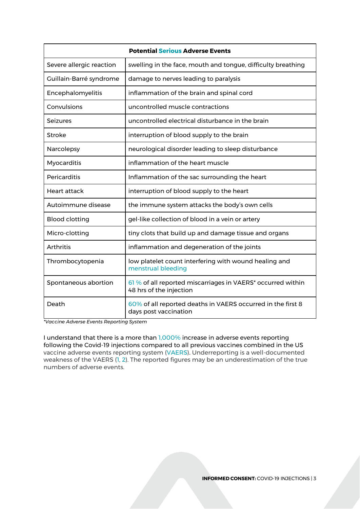| <b>Potential Serious Adverse Events</b> |                                                                                        |  |  |
|-----------------------------------------|----------------------------------------------------------------------------------------|--|--|
| Severe allergic reaction                | swelling in the face, mouth and tongue, difficulty breathing                           |  |  |
| Guillain-Barré syndrome                 | damage to nerves leading to paralysis                                                  |  |  |
| Encephalomyelitis                       | inflammation of the brain and spinal cord                                              |  |  |
| Convulsions                             | uncontrolled muscle contractions                                                       |  |  |
| <b>Seizures</b>                         | uncontrolled electrical disturbance in the brain                                       |  |  |
| Stroke                                  | interruption of blood supply to the brain                                              |  |  |
| Narcolepsy                              | neurological disorder leading to sleep disturbance                                     |  |  |
| Myocarditis                             | inflammation of the heart muscle                                                       |  |  |
| Pericarditis                            | Inflammation of the sac surrounding the heart                                          |  |  |
| <b>Heart attack</b>                     | interruption of blood supply to the heart                                              |  |  |
| Autoimmune disease                      | the immune system attacks the body's own cells                                         |  |  |
| <b>Blood clotting</b>                   | gel-like collection of blood in a vein or artery                                       |  |  |
| Micro-clotting                          | tiny clots that build up and damage tissue and organs                                  |  |  |
| Arthritis                               | inflammation and degeneration of the joints                                            |  |  |
| Thrombocytopenia                        | low platelet count interfering with wound healing and<br>menstrual bleeding            |  |  |
| Spontaneous abortion                    | 61 % of all reported miscarriages in VAERS* occurred within<br>48 hrs of the injection |  |  |
| Death                                   | 60% of all reported deaths in VAERS occurred in the first 8<br>days post vaccination   |  |  |

*\*Vaccine Adverse Events Reporting System*

I understand that there is a more than [1,000%](https://www.youtube.com/watch?v=hN8QEtPQ4BQ) increase in adverse events reporting following the Covid-19 injections compared to all previous vaccines combined in the US vaccine adverse events reporting system [\(VAERS\)](https://www.openvaers.com/covid-data). Underreporting is a well-documented weakness of the VAERS [\(1,](https://digital.ahrq.gov/sites/default/files/docs/publication/r18hs017045-lazarus-final-report-2011.pdf) [2\)](https://link.springer.com/article/10.2165/00002018-200629050-00003). The reported figures may be an underestimation of the true numbers of adverse events.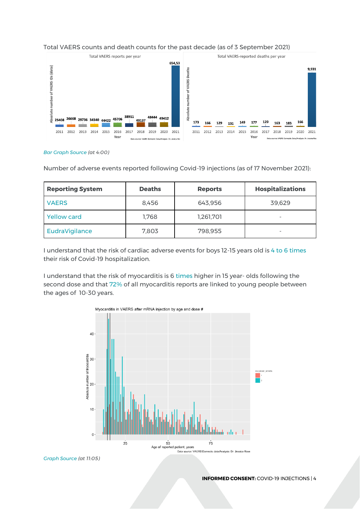

### Total VAERS counts and death counts for the past decade (as of 3 September 2021)

*[Bar Graph Source](https://www.youtube.com/watch?v=hN8QEtPQ4BQ) (at 4:00)*

Number of adverse events reported following Covid-19 injections (as of 17 November 2021):

| <b>Reporting System</b> | <b>Deaths</b> | <b>Reports</b> | <b>Hospitalizations</b> |
|-------------------------|---------------|----------------|-------------------------|
| <b>VAERS</b>            | 8.456         | 643,956        | 39,629                  |
| <b>Yellow card</b>      | 1.768         | 1,261,701      | $\sim$                  |
| <b>EudraVigilance</b>   | 7,803         | 798,955        | $\sim$                  |

I understand that the risk of cardiac adverse events for boys 12-15 years old is [4 to 6 times](https://www.medrxiv.org/content/10.1101/2021.08.30.21262866v1) their risk of Covid-19 hospitalization.

I understand that the risk of myocarditis is 6 [times](https://616ec8f0ea9a150b0a6b9b6e--i-do-not-consent.netlify.app/media/Myocarditis_manuscript_Bret_W.pdf) higher in 15 year- olds following the second dose and that [72%](https://616ec8f0ea9a150b0a6b9b6e--i-do-not-consent.netlify.app/media/Myocarditis_manuscript_Bret_W.pdf) of all myocarditis reports are linked to young people between the ages of 10-30 years.



*[Graph Source](https://www.youtube.com/watch?v=hN8QEtPQ4BQ) (at 11:05)*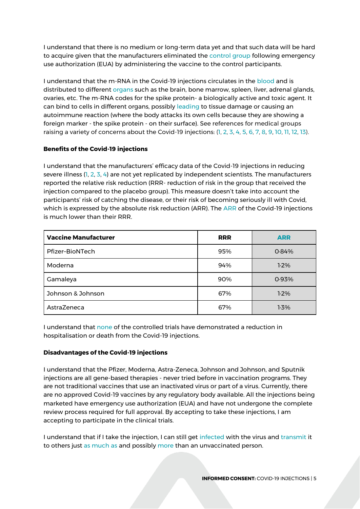I understand that there is no medium or long-term data yet and that such data will be hard to acquire given that the manufacturers eliminated the [control group](https://www.bmj.com/content/374/bmj.n2086) following emergency use authorization (EUA) by administering the vaccine to the control participants.

I understand that the m-RNA in the Covid-19 injections circulates in the [blood](https://academic.oup.com/cid/advance-article/doi/10.1093/cid/ciab465/6279075) and is distributed to different [organs](https://www.canadiancovidcarealliance.org/wp-content/uploads/2021/06/2021-06-15-children_and_covid-19_vaccines_full_guide.pdf) such as the brain, bone marrow, spleen, liver, adrenal glands, ovaries, etc. The m-RNA codes for the spike protein- a biologically active and toxic agent. It can bind to cells in different organs, possibly [leading](https://www.ncbi.nlm.nih.gov/labs/pmc/articles/PMC7827936/) to tissue damage or causing an autoimmune reaction (where the body attacks its own cells because they are showing a foreign marker - the spike protein - on their surface). See references for medical groups raising a variety of concerns about the Covid-19 injections: [\(1,](https://blogs.bmj.com/bmj/2021/05/07/covid-vaccines-for-children-should-not-get-emergency-use-authorization/) [2](https://www.regulations.gov/document/FDA-2021-P-0460-0001)[,](https://www.ukmedfreedom.org/open-letters/ukmfa-urgent-open-letter-to-the-mhra-re-emergency-authorisation-of-the-pfizer-covid-19-vaccine-for-children) [3,](https://www.americasfrontlinedoctors.org/frontline-news/americas-frontline-doctors-files-motion-for-temporary-restraining-order-against-use-of-covid-vaccine-in-children) [4,](https://www.hartgroup.org/wp-content/uploads/2021/05/OpenLetterChildVaccination.pdf) [5](https://www.covil.co.il/covid-19-vaccination-for-children-and-youth-under-16-years/), [6](https://www.canadiancovidcarealliance.org/wp-content/uploads/2021/06/2021-06-15-children_and_covid-19_vaccines_full_guide.pdf), [7,](https://www.ukmedfreedom.org/open-letters/ukmfa-urgent-open-letter-to-the-mhra-re-emergency-authorisation-of-the-pfizer-covid-19-vaccine-for-children) [8,](https://uploads-ssl.webflow.com/5fa5866942937a4d73918723/60e6ed5ee234035c04fd1f94_UKMFA_Open_Letter_Headteachers_Vaccines.pdf) [9,](https://covidrationnel.be/2021/06/26/considerations-sur-la-vaccination-anti-covid-des-enfants-et-des-adolescents/) [10,](https://www.regulations.gov/document/FDA-2021-P-0521-0001) [11,](https://b3d2650e-e929-4448-a527-4eeb59304c7f.filesusr.com/ugd/593c4f_b2acdef3774b4e9ca06e9fae526fd5cd.pdf) [12,](https://www.researchgate.net/publication/351670290_SARS-CoV-2_mass_vaccination_Urgent_questions_on_vaccine_safety_that_demand_answers_from_international_health_agencies_regulatory_authorities_governments_and_vaccine_developers) [13\)](https://www.canadiancovidcarealliance.org/wp-content/uploads/2021/09/Declaration-Final_v5.pdf).

# **Benefits of the Covid-19 injections**

I understand that the manufacturers' efficacy data of the Covid-19 injections in reducing severe illness [\(1,](https://pubmed.ncbi.nlm.nih.gov/33301246/) [2,](https://www.nejm.org/doi/full/10.1056/nejmoa2035389) [3,](https://www.nejm.org/doi/full/10.1056/NEJMoa2101544) [4\)](https://jamanetwork.com/journals/jama/fullarticle/2780562) are not yet replicated by independent scientists. The manufacturers reported the relative risk reduction (RRR- reduction of risk in the group that received the injection compared to the placebo group). This measure doesn't take into account the participants' risk of catching the disease, or their risk of becoming seriously ill with Covid, which is expressed by the absolute risk reduction (ARR). The [ARR](https://www.pandata.org/understanding-relative-risk-reduction-and-absolute-risk-reduction-in-vaccine-trials/) of the Covid-19 injections is much lower than their RRR.

| <b>Vaccine Manufacturer</b> | <b>RRR</b> | <b>ARR</b> |
|-----------------------------|------------|------------|
| Pfizer-BioNTech             | 95%        | 0.84%      |
| Moderna                     | 94%        | $1.2\%$    |
| Gamaleya                    | 90%        | 0.93%      |
| Johnson & Johnson           | 67%        | $1.2\%$    |
| AstraZeneca                 | 67%        | 1.3%       |

I understand that [none](https://www.youtube.com/watch?v=3aZd6aTCAkM) of the controlled trials have demonstrated a reduction in hospitalisation or death from the Covid-19 injections.

# **Disadvantages of the Covid-19 injections**

I understand that the Pfizer, Moderna, Astra-Zeneca, Johnson and Johnson, and Sputnik injections are all gene-based therapies - never tried before in vaccination programs. They are not traditional vaccines that use an inactivated virus or part of a virus. Currently, there are no approved Covid-19 vaccines by any regulatory body available. All the injections being marketed have emergency use authorization (EUA) and have not undergone the complete review process required for full approval. By accepting to take these injections, I am accepting to participate in the clinical trials.

I understand that if I take the injection, I can still get [infected](https://www.science.org/doi/10.1126/science.abm0620) with the virus and [transmit](https://www.medrxiv.org/content/10.1101/2021.10.20.21265137v1) it to others just [as much as](https://www.cdc.gov/mmwr/volumes/70/wr/mm7031e2.htm) and possibly [more](https://papers.ssrn.com/sol3/papers.cfm?abstract_id=3897733) than an unvaccinated person.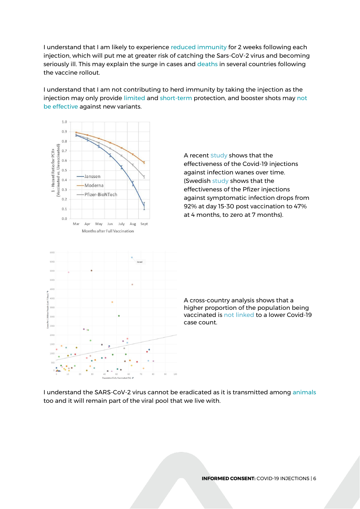I understand that I am likely to experience [reduced immunity](https://www.nature.com/articles/s41586-020-2639-4) for 2 weeks following each injection, which will put me at greater risk of catching the Sars-CoV-2 virus and becoming seriously ill. This may explain the surge in cases and [deaths](https://odysee.com/@CosmicEvent:5/COVID-Deaths-Before-and-After-Vaccination-Programs:4) in several countries following the vaccine rollout.

I understand that I am not contributing to herd immunity by taking the injection as the injection may only provide [limited a](https://www.cdc.gov/mmwr/volumes/70/wr/mm7031e2.htm)n[d](https://www.cdc.gov/mmwr/volumes/70/wr/mm7031e2.htm) [short-term](https://pubmed.ncbi.nlm.nih.gov/34737312/) protection, and booster shots may [not](https://www.scribd.com/document/524998636/s-0140673621020468)  [be effective](https://www.scribd.com/document/524998636/s-0140673621020468) against new variants.



A recent [s](https://www.science.org/doi/10.1126/science.abm0620)[tudy](https://www.science.org/doi/10.1126/science.abm0620) shows that the effectiveness of the Covid-19 injections against infection wanes over time. (Swedish [study](https://papers.ssrn.com/sol3/papers.cfm?abstract_id=3949410) shows that the effectiveness of the Pfizer injections against symptomatic infection drops from 92% at day 15-30 post vaccination to 47% at 4 months, to zero at 7 months).

A cross-country analysis shows that a higher proportion of the population being vaccinated i[s not linked](https://link.springer.com/article/10.1007/s10654-021-00808-7) to a lower Covid-19 case count.

I understand the SARS-CoV-2 virus cannot be eradicated as it is transmitted among [animals](https://www.ncbi.nlm.nih.gov/labs/pmc/articles/PMC8128218/) too and it will remain part of the viral pool that we live with.

**INFORMED CONSENT:** COVID-19 INJECTIONS | 6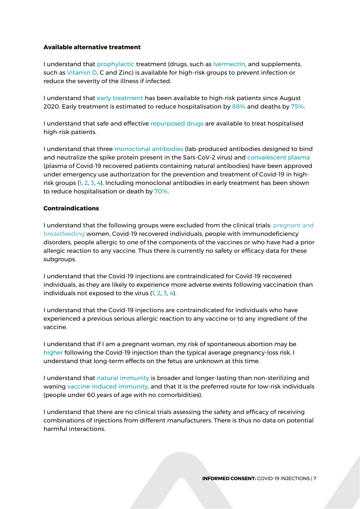### **Available alternative treatment**

I understand that [prophylactic](https://aapsonline.org/CovidPatientTreatmentGuide.pdf) treatment (drugs, such as [Ivermectin,](https://bird-group.org/the-bird-recommendation-on-the-use-of-ivermectin-for-covid-19/) and supplements, such as [Vitamin D,](https://www.thelancet.com/journals/landia/article/PIIS2213-8587(20)30183-2/fulltext?fbclid=IwAR2tfzkbILkYtkRWbyffRouPol3WQ0ChoFNpovM0B8Onl8IAjpdH1I4segE) C and Zinc) is available for high-risk groups to prevent infection or reduce the severity of the illness if infected.

I understand that [early treatment](https://www.pandata.org/infobank-treatments/) has been available to high-risk patients since August 2020. Early treatment is estimated to reduce hospitalisation by [88%](https://ijirms.in/index.php/ijirms/article/view/1100) and deaths by [75%.](https://ijirms.in/index.php/ijirms/article/view/1100)

I understand that safe and effective [repurposed drugs](https://www.pandata.org/repurposed-treatments-for-covid19/) are available to treat hospitalised high-risk patients.

I understand that three [monoclonal antibodies](https://www.covid19treatmentguidelines.nih.gov/therapies/anti-sars-cov-2-antibody-products/anti-sars-cov-2-monoclonal-antibodies/) (lab-produced antibodies designed to bind and neutralize the spike protein present in the Sars-CoV-2 virus) and [convalescent plasma](https://www.covid19treatmentguidelines.nih.gov/therapies/anti-sars-cov-2-antibody-products/convalescent-plasma/) (plasma of Covid-19 recovered patients containing natural antibodies) have been approved under emergency use authorization for the prevention and treatment of Covid-19 in highrisk groups [\(1,](https://www.medrxiv.org/content/10.1101/2021.03.15.21253646v1.full) [2,](https://www.ncbi.nlm.nih.gov/labs/pmc/articles/PMC8479899/) [3,](https://www.jci.org/articles/view/150646) [4\)](https://publichealth.jmir.org/2021/4/e25500/). Including monoclonal antibodies in early treatment has been shown to reduce hospitalisation or death by [70%.](https://investor.regeneron.com/news-releases/news-release-details/phase-3-trial-shows-regen-covtm-casirivimab-imdevimab-antibody)

## **Contraindications**

I understand that the following groups were excluded from the clinical trials: [pregnant](https://www.ncbi.nlm.nih.gov/labs/pmc/articles/PMC7989536/) and [breastfeeding](https://www.ncbi.nlm.nih.gov/labs/pmc/articles/PMC7989536/) women, Covid-19 recovered individuals, people with immunodeficiency disorders, people allergic to one of the components of the vaccines or who have had a prior allergic reaction to any vaccine. Thus there is currently no safety or efficacy data for these subgroups.

I understand that the Covid-19 injections are contraindicated for Covid-19 recovered individuals, as they are likely to experience more adverse events following vaccination than individuals not exposed to the virus [\(1,](https://www.medrxiv.org/content/10.1101/2021.04.15.21252192v1) [2,](https://www.medrxiv.org/content/10.1101/2021.02.26.21252096v1) [3,](https://www.medrxiv.org/content/10.1101/2021.01.29.21250653v1.full.pdf) [4\)](https://www.thelancet.com/journals/eclinm/article/PIIS2589-5370(21)00194-2/fulltext).

I understand that the Covid-19 injections are contraindicated for individuals who have experienced a previous serious allergic reaction to any vaccine or to any ingredient of the vaccine.

I understand that if I am a pregnant woman, my risk of spontaneous abortion may be [higher](https://cf5e727d-d02d-4d71-89ff-9fe2d3ad957f.filesusr.com/ugd/adf864_2bd97450072f4364a65e5cf1d7384dd4.pdf) following the Covid-19 injection than the typical average pregnancy-loss risk. I understand that long-term effects on the fetus are unknown at this time.

I understand that [natural immunity](https://brownstone.org/articles/79-research-studies-affirm-naturally-acquired-immunity-to-covid-19-documented-linked-and-quoted/) is broader and longer-lasting than non-sterilizing and waning [vaccine-induced immunity,](https://brownstone.org/articles/22-studies-and-reports-that-raise-profound-doubts-about-vaccine-efficacy-for-the-general-population/) and that it is the preferred route for low-risk individuals (people under 60 years of age with no comorbidities).

I understand that there are no clinical trials assessing the safety and efficacy of receiving combinations of injections from different manufacturers. There is thus no data on potential harmful interactions.